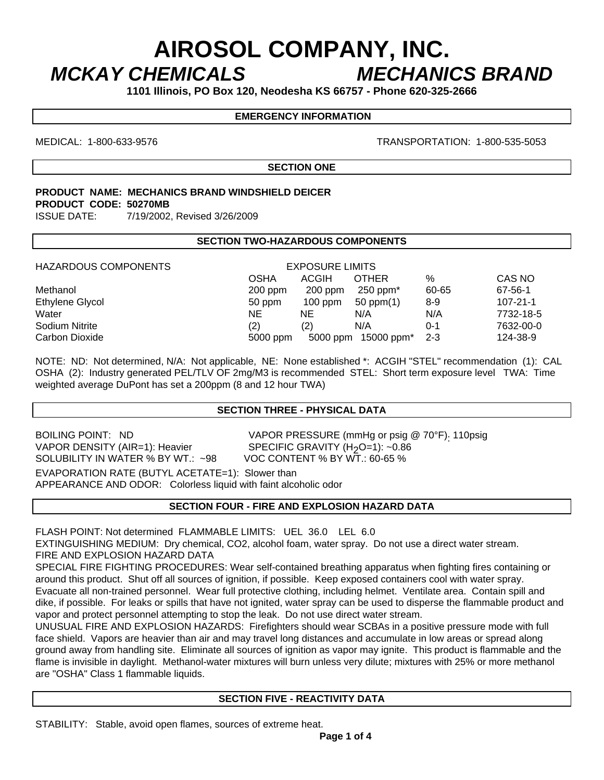# **AIROSOL COMPANY, INC.**  *MCKAY CHEMICALS MECHANICS BRAND*

**1101 Illinois, PO Box 120, Neodesha KS 66757 - Phone 620-325-2666** 

## **EMERGENCY INFORMATION**

MEDICAL: 1-800-633-9576 TRANSPORTATION: 1-800-535-5053

**SECTION ONE** 

## **PRODUCT NAME: MECHANICS BRAND WINDSHIELD DEICER PRODUCT CODE: 50270MB**

ISSUE DATE: 7/19/2002, Revised 3/26/2009

### **SECTION TWO-HAZARDOUS COMPONENTS**

| <b>HAZARDOUS COMPONENTS</b> | <b>EXPOSURE LIMITS</b> |           |                        |         |                |
|-----------------------------|------------------------|-----------|------------------------|---------|----------------|
|                             | OSHA                   | ACGIH     | <b>OTHER</b>           | %       | CAS NO         |
| Methanol                    | $200$ ppm              | $200$ ppm | $250$ ppm $*$          | 60-65   | 67-56-1        |
| Ethylene Glycol             | 50 ppm                 | $100$ ppm | $50$ ppm $(1)$         | 8-9     | $107 - 21 - 1$ |
| Water                       | ΝE                     | ΝE        | N/A                    | N/A     | 7732-18-5      |
| Sodium Nitrite              | (2)                    | (2)       | N/A                    | $0 - 1$ | 7632-00-0      |
| Carbon Dioxide              | 5000 ppm               | 5000 ppm  | 15000 ppm <sup>*</sup> | $2 - 3$ | 124-38-9       |

NOTE: ND: Not determined, N/A: Not applicable, NE: None established \*: ACGIH "STEL" recommendation (1): CAL OSHA (2): Industry generated PEL/TLV OF 2mg/M3 is recommended STEL: Short term exposure level TWA: Time weighted average DuPont has set a 200ppm (8 and 12 hour TWA)

### **SECTION THREE - PHYSICAL DATA**

VAPOR DENSITY (AIR=1): Heavier SPECIFIC GRAVITY (H<sub>2</sub>O=1): ~0.86<br>SOLUBILITY IN WATER % BY WT.: ~98 VOC CONTENT % BY WT.: 60-65 % SOLUBILITY IN WATER % BY WT.: ~98 EVAPORATION RATE (BUTYL ACETATE=1): Slower than APPEARANCE AND ODOR: Colorless liquid with faint alcoholic odor

 $\overline{a}$ 

BOILING POINT: ND VAPOR PRESSURE (mmHg or psig @ 70°F): 110psig

**SECTION FOUR - FIRE AND EXPLOSION HAZARD DATA** 

FLASH POINT: Not determined FLAMMABLE LIMITS: UEL 36.0 LEL 6.0

EXTINGUISHING MEDIUM: Dry chemical, CO2, alcohol foam, water spray. Do not use a direct water stream. FIRE AND EXPLOSION HAZARD DATA

SPECIAL FIRE FIGHTING PROCEDURES: Wear self-contained breathing apparatus when fighting fires containing or around this product. Shut off all sources of ignition, if possible. Keep exposed containers cool with water spray. Evacuate all non-trained personnel. Wear full protective clothing, including helmet. Ventilate area. Contain spill and dike, if possible. For leaks or spills that have not ignited, water spray can be used to disperse the flammable product and vapor and protect personnel attempting to stop the leak. Do not use direct water stream.

UNUSUAL FIRE AND EXPLOSION HAZARDS: Firefighters should wear SCBAs in a positive pressure mode with full face shield. Vapors are heavier than air and may travel long distances and accumulate in low areas or spread along ground away from handling site. Eliminate all sources of ignition as vapor may ignite. This product is flammable and the flame is invisible in daylight. Methanol-water mixtures will burn unless very dilute; mixtures with 25% or more methanol are "OSHA" Class 1 flammable liquids.

### **SECTION FIVE - REACTIVITY DATA**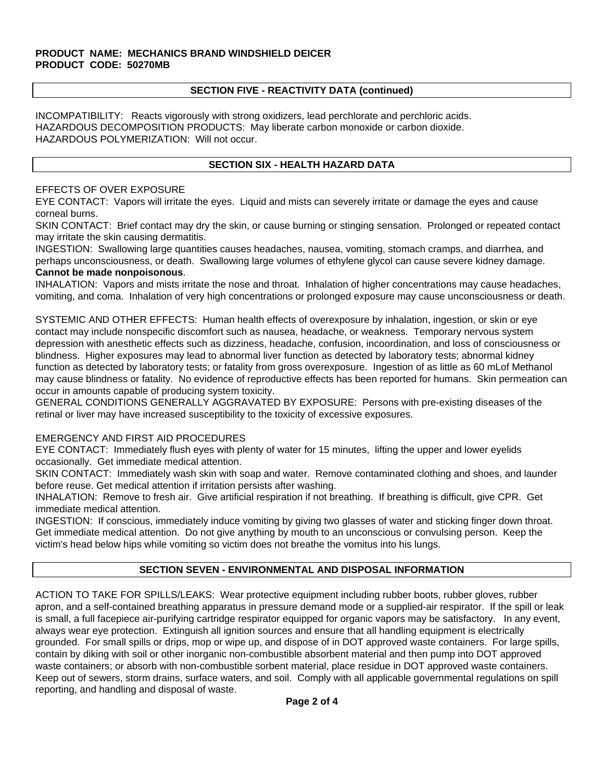## **PRODUCT NAME: MECHANICS BRAND WINDSHIELD DEICER PRODUCT CODE: 50270MB**

## **SECTION FIVE - REACTIVITY DATA (continued)**

INCOMPATIBILITY: Reacts vigorously with strong oxidizers, lead perchlorate and perchloric acids. HAZARDOUS DECOMPOSITION PRODUCTS: May liberate carbon monoxide or carbon dioxide. HAZARDOUS POLYMERIZATION: Will not occur.

## **SECTION SIX - HEALTH HAZARD DATA**

## EFFECTS OF OVER EXPOSURE

EYE CONTACT: Vapors will irritate the eyes. Liquid and mists can severely irritate or damage the eyes and cause corneal burns.

SKIN CONTACT: Brief contact may dry the skin, or cause burning or stinging sensation. Prolonged or repeated contact may irritate the skin causing dermatitis.

INGESTION: Swallowing large quantities causes headaches, nausea, vomiting, stomach cramps, and diarrhea, and perhaps unconsciousness, or death. Swallowing large volumes of ethylene glycol can cause severe kidney damage. **Cannot be made nonpoisonous**.

INHALATION: Vapors and mists irritate the nose and throat. Inhalation of higher concentrations may cause headaches, vomiting, and coma. Inhalation of very high concentrations or prolonged exposure may cause unconsciousness or death.

SYSTEMIC AND OTHER EFFECTS: Human health effects of overexposure by inhalation, ingestion, or skin or eye contact may include nonspecific discomfort such as nausea, headache, or weakness. Temporary nervous system depression with anesthetic effects such as dizziness, headache, confusion, incoordination, and loss of consciousness or blindness. Higher exposures may lead to abnormal liver function as detected by laboratory tests; abnormal kidney function as detected by laboratory tests; or fatality from gross overexposure. Ingestion of as little as 60 mLof Methanol may cause blindness or fatality. No evidence of reproductive effects has been reported for humans. Skin permeation can occur in amounts capable of producing system toxicity.

GENERAL CONDITIONS GENERALLY AGGRAVATED BY EXPOSURE: Persons with pre-existing diseases of the retinal or liver may have increased susceptibility to the toxicity of excessive exposures.

## EMERGENCY AND FIRST AID PROCEDURES

EYE CONTACT: Immediately flush eyes with plenty of water for 15 minutes, lifting the upper and lower eyelids occasionally. Get immediate medical attention.

SKIN CONTACT: Immediately wash skin with soap and water. Remove contaminated clothing and shoes, and launder before reuse. Get medical attention if irritation persists after washing.

INHALATION: Remove to fresh air. Give artificial respiration if not breathing. If breathing is difficult, give CPR. Get immediate medical attention.

INGESTION: If conscious, immediately induce vomiting by giving two glasses of water and sticking finger down throat. Get immediate medical attention. Do not give anything by mouth to an unconscious or convulsing person. Keep the victim's head below hips while vomiting so victim does not breathe the vomitus into his lungs.

## **SECTION SEVEN - ENVIRONMENTAL AND DISPOSAL INFORMATION**

ACTION TO TAKE FOR SPILLS/LEAKS: Wear protective equipment including rubber boots, rubber gloves, rubber apron, and a self-contained breathing apparatus in pressure demand mode or a supplied-air respirator. If the spill or leak is small, a full facepiece air-purifying cartridge respirator equipped for organic vapors may be satisfactory. In any event, always wear eye protection. Extinguish all ignition sources and ensure that all handling equipment is electrically grounded. For small spills or drips, mop or wipe up, and dispose of in DOT approved waste containers. For large spills, contain by diking with soil or other inorganic non-combustible absorbent material and then pump into DOT approved waste containers; or absorb with non-combustible sorbent material, place residue in DOT approved waste containers. Keep out of sewers, storm drains, surface waters, and soil. Comply with all applicable governmental regulations on spill reporting, and handling and disposal of waste.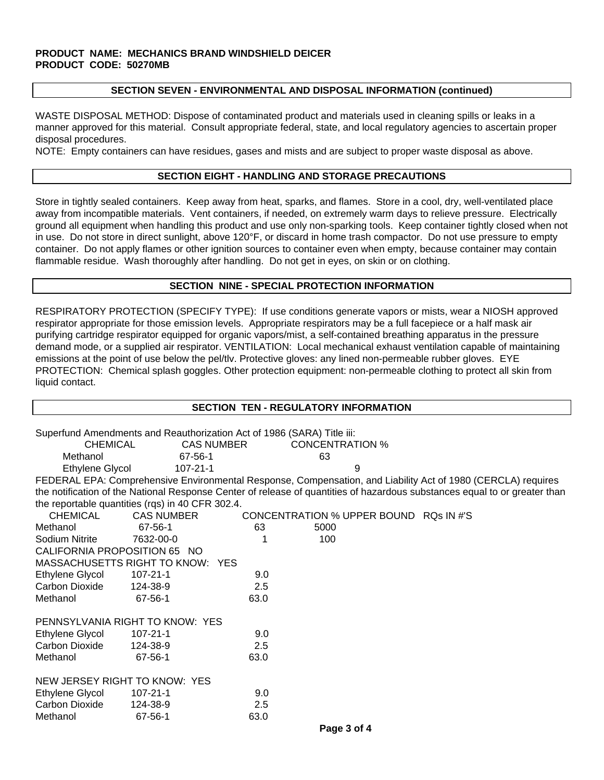### **PRODUCT NAME: MECHANICS BRAND WINDSHIELD DEICER PRODUCT CODE: 50270MB**

#### **SECTION SEVEN - ENVIRONMENTAL AND DISPOSAL INFORMATION (continued)**

WASTE DISPOSAL METHOD: Dispose of contaminated product and materials used in cleaning spills or leaks in a manner approved for this material. Consult appropriate federal, state, and local regulatory agencies to ascertain proper disposal procedures.

NOTE: Empty containers can have residues, gases and mists and are subject to proper waste disposal as above.

#### **SECTION EIGHT - HANDLING AND STORAGE PRECAUTIONS**

Store in tightly sealed containers. Keep away from heat, sparks, and flames. Store in a cool, dry, well-ventilated place away from incompatible materials. Vent containers, if needed, on extremely warm days to relieve pressure. Electrically ground all equipment when handling this product and use only non-sparking tools. Keep container tightly closed when not in use. Do not store in direct sunlight, above 120°F, or discard in home trash compactor. Do not use pressure to empty container. Do not apply flames or other ignition sources to container even when empty, because container may contain flammable residue. Wash thoroughly after handling. Do not get in eyes, on skin or on clothing.

### **SECTION NINE - SPECIAL PROTECTION INFORMATION**

RESPIRATORY PROTECTION (SPECIFY TYPE): If use conditions generate vapors or mists, wear a NIOSH approved respirator appropriate for those emission levels. Appropriate respirators may be a full facepiece or a half mask air purifying cartridge respirator equipped for organic vapors/mist, a self-contained breathing apparatus in the pressure demand mode, or a supplied air respirator. VENTILATION: Local mechanical exhaust ventilation capable of maintaining emissions at the point of use below the pel/tlv. Protective gloves: any lined non-permeable rubber gloves. EYE PROTECTION: Chemical splash goggles. Other protection equipment: non-permeable clothing to protect all skin from liquid contact.

## **SECTION TEN - REGULATORY INFORMATION**

|                                                                                                                            | Superfund Amendments and Reauthorization Act of 1986 (SARA) Title iii: |      |                                        |                                                                                                              |  |  |  |  |
|----------------------------------------------------------------------------------------------------------------------------|------------------------------------------------------------------------|------|----------------------------------------|--------------------------------------------------------------------------------------------------------------|--|--|--|--|
| <b>CHEMICAL</b>                                                                                                            | <b>CAS NUMBER</b>                                                      |      | <b>CONCENTRATION %</b>                 |                                                                                                              |  |  |  |  |
| Methanol                                                                                                                   | 67-56-1                                                                |      | 63                                     |                                                                                                              |  |  |  |  |
| Ethylene Glycol                                                                                                            | $107 - 21 - 1$                                                         |      | 9                                      |                                                                                                              |  |  |  |  |
|                                                                                                                            |                                                                        |      |                                        | FEDERAL EPA: Comprehensive Environmental Response, Compensation, and Liability Act of 1980 (CERCLA) requires |  |  |  |  |
| the notification of the National Response Center of release of quantities of hazardous substances equal to or greater than |                                                                        |      |                                        |                                                                                                              |  |  |  |  |
| the reportable quantities (rqs) in 40 CFR 302.4.                                                                           |                                                                        |      |                                        |                                                                                                              |  |  |  |  |
| <b>CHEMICAL</b>                                                                                                            | <b>CAS NUMBER</b>                                                      |      | CONCENTRATION % UPPER BOUND RQs IN #'S |                                                                                                              |  |  |  |  |
| Methanol                                                                                                                   | 67-56-1                                                                | 63   | 5000                                   |                                                                                                              |  |  |  |  |
| Sodium Nitrite                                                                                                             | 7632-00-0                                                              |      | 100                                    |                                                                                                              |  |  |  |  |
| CALIFORNIA PROPOSITION 65 NO                                                                                               |                                                                        |      |                                        |                                                                                                              |  |  |  |  |
| MASSACHUSETTS RIGHT TO KNOW: YES                                                                                           |                                                                        |      |                                        |                                                                                                              |  |  |  |  |
| Ethylene Glycol                                                                                                            | $107 - 21 - 1$                                                         | 9.0  |                                        |                                                                                                              |  |  |  |  |
| Carbon Dioxide                                                                                                             | 124-38-9                                                               | 2.5  |                                        |                                                                                                              |  |  |  |  |
| Methanol                                                                                                                   | 67-56-1                                                                | 63.0 |                                        |                                                                                                              |  |  |  |  |
| PENNSYLVANIA RIGHT TO KNOW: YES                                                                                            |                                                                        |      |                                        |                                                                                                              |  |  |  |  |
| Ethylene Glycol                                                                                                            | 107-21-1                                                               | 9.0  |                                        |                                                                                                              |  |  |  |  |
| Carbon Dioxide                                                                                                             | 124-38-9                                                               | 2.5  |                                        |                                                                                                              |  |  |  |  |
| Methanol                                                                                                                   | 67-56-1                                                                | 63.0 |                                        |                                                                                                              |  |  |  |  |
| NEW JERSEY RIGHT TO KNOW: YES                                                                                              |                                                                        |      |                                        |                                                                                                              |  |  |  |  |
| Ethylene Glycol                                                                                                            | $107 - 21 - 1$                                                         | 9.0  |                                        |                                                                                                              |  |  |  |  |
| <b>Carbon Dioxide</b>                                                                                                      | 124-38-9                                                               | 2.5  |                                        |                                                                                                              |  |  |  |  |
| Methanol                                                                                                                   | 67-56-1                                                                | 63.0 |                                        |                                                                                                              |  |  |  |  |